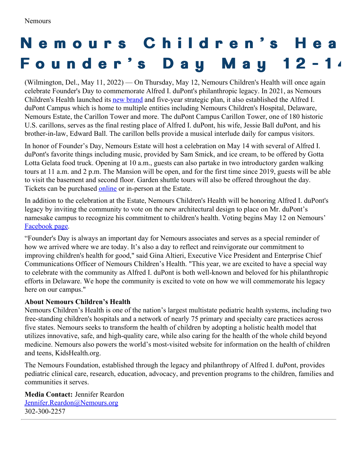## Nemours Children's Hea **F o u n d e r ' s D a y M a y 1 2 - 1 4**

(Wilmington, Del., May 11, 2022) — On Thursday, May 12, Nemours Children's Health will once again celebrate Founder's Day to commemorate Alfred I. duPont's philanthropic legacy. In 2021, as Nemours Children's Health launched its new [brand](https://nemours.mediaroom.com/Nemours-Redefines-Childrens-Health) and five-year strategic plan, it also established the Alfred I. duPont Campus which is home to multiple entities including Nemours Children's Hospital, Delaware, Nemours Estate, the Carillon Tower and more. The duPont Campus Carillon Tower, one of 180 historic U.S. carillons, serves as the final resting place of Alfred I. duPont, his wife, Jessie Ball duPont, and his brother-in-law, Edward Ball. The carillon bells provide a musical interlude daily for campus visitors.

In honor of Founder's Day, Nemours Estate will host a celebration on May 14 with several of Alfred I. duPont's favorite things including music, provided by Sam Smick, and ice cream, to be offered by Gotta Lotta Gelata food truck. Opening at 10 a.m., guests can also partake in two introductory garden walking tours at 11 a.m. and 2 p.m. The Mansion will be open, and for the first time since 2019, guests will be able to visit the basement and second floor. Garden shuttle tours will also be offered throughout the day. Tickets can be purchased [online](https://www.eventbrite.com/e/nemours-estate-day-pass-tickets-308858613427) or in-person at the Estate.

In addition to the celebration at the Estate, Nemours Children's Health will be honoring Alfred I. duPont's legacy by inviting the community to vote on the new architectural design to place on Mr. duPont's namesake campus to recognize his commitment to children's health. Voting begins May 12 on Nemours' [Facebook](https://www.facebook.com/Nemours/) page.

"Founder's Day is always an important day for Nemours associates and serves as a special reminder of how we arrived where we are today. It's also a day to reflect and reinvigorate our commitment to improving children's health for good," said Gina Altieri, Executive Vice President and Enterprise Chief Communications Officer of Nemours Children's Health. "This year, we are excited to have a special way to celebrate with the community as Alfred I. duPont is both well-known and beloved for his philanthropic efforts in Delaware. We hope the community is excited to vote on how we will commemorate his legacy here on our campus."

## **About Nemours Children's Health**

Nemours Children's Health is one of the nation's largest multistate pediatric health systems, including two free-standing children's hospitals and a network of nearly 75 primary and specialty care practices across five states. Nemours seeks to transform the health of children by adopting a holistic health model that utilizes innovative, safe, and high-quality care, while also caring for the health of the whole child beyond medicine. Nemours also powers the world's most-visited website for information on the health of children and teens, KidsHealth.org.

The Nemours Foundation, established through the legacy and philanthropy of Alfred I. duPont, provides pediatric clinical care, research, education, advocacy, and prevention programs to the children, families and communities it serves.

**Media Contact:** Jennifer Reardon [Jennifer.Reardon@Nemours.org](mailto:Jennifer.Reardon@Nemours.org) 302-300-2257